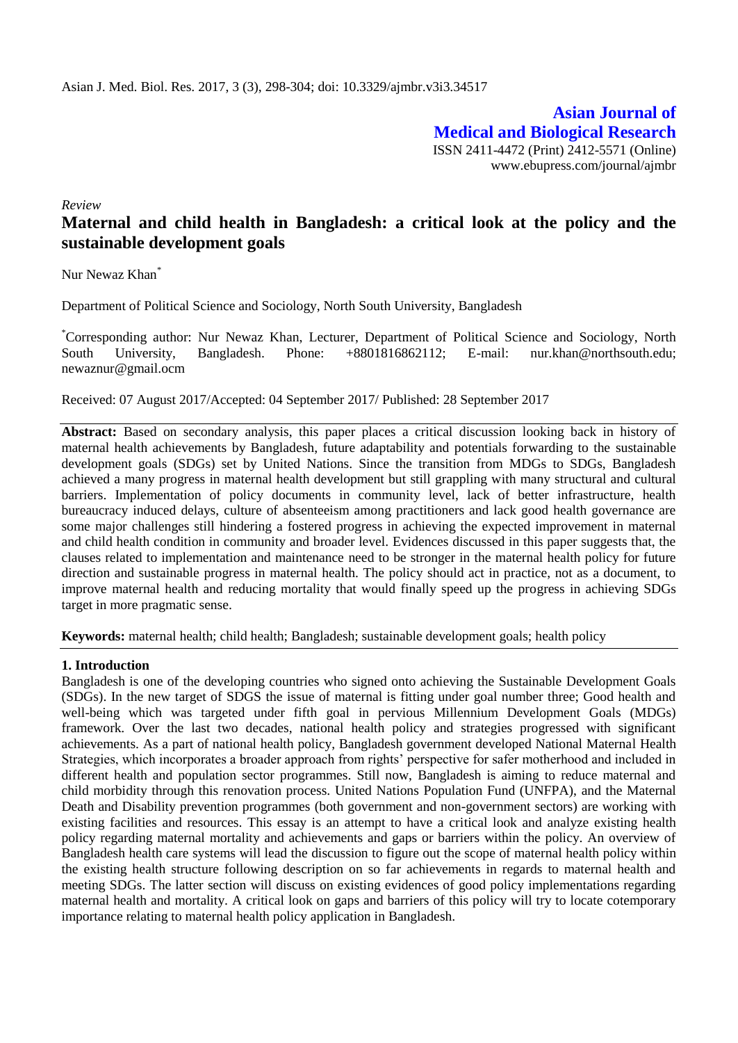**Asian Journal of Medical and Biological Research** ISSN 2411-4472 (Print) 2412-5571 (Online) www.ebupress.com/journal/ajmbr

*Review*

# **Maternal and child health in Bangladesh: a critical look at the policy and the sustainable development goals**

Nur Newaz Khan<sup>\*</sup>

Department of Political Science and Sociology, North South University, Bangladesh

\*Corresponding author: Nur Newaz Khan, Lecturer, Department of Political Science and Sociology, North South University, Bangladesh. Phone: +8801816862112; E-mail: [nur.khan@northsouth.edu;](mailto:nur.khan@northsouth.edu) [newaznur@gmail.ocm](mailto:newaznur@gmail.ocm)

Received: 07 August 2017/Accepted: 04 September 2017/ Published: 28 September 2017

Abstract: Based on secondary analysis, this paper places a critical discussion looking back in history of maternal health achievements by Bangladesh, future adaptability and potentials forwarding to the sustainable development goals (SDGs) set by United Nations. Since the transition from MDGs to SDGs, Bangladesh achieved a many progress in maternal health development but still grappling with many structural and cultural barriers. Implementation of policy documents in community level, lack of better infrastructure, health bureaucracy induced delays, culture of absenteeism among practitioners and lack good health governance are some major challenges still hindering a fostered progress in achieving the expected improvement in maternal and child health condition in community and broader level. Evidences discussed in this paper suggests that, the clauses related to implementation and maintenance need to be stronger in the maternal health policy for future direction and sustainable progress in maternal health. The policy should act in practice, not as a document, to improve maternal health and reducing mortality that would finally speed up the progress in achieving SDGs target in more pragmatic sense.

**Keywords:** maternal health; child health; Bangladesh; sustainable development goals; health policy

### **1. Introduction**

Bangladesh is one of the developing countries who signed onto achieving the Sustainable Development Goals (SDGs). In the new target of SDGS the issue of maternal is fitting under goal number three; Good health and well-being which was targeted under fifth goal in pervious Millennium Development Goals (MDGs) framework. Over the last two decades, national health policy and strategies progressed with significant achievements. As a part of national health policy, Bangladesh government developed National Maternal Health Strategies, which incorporates a broader approach from rights' perspective for safer motherhood and included in different health and population sector programmes. Still now, Bangladesh is aiming to reduce maternal and child morbidity through this renovation process. United Nations Population Fund (UNFPA), and the Maternal Death and Disability prevention programmes (both government and non-government sectors) are working with existing facilities and resources. This essay is an attempt to have a critical look and analyze existing health policy regarding maternal mortality and achievements and gaps or barriers within the policy. An overview of Bangladesh health care systems will lead the discussion to figure out the scope of maternal health policy within the existing health structure following description on so far achievements in regards to maternal health and meeting SDGs. The latter section will discuss on existing evidences of good policy implementations regarding maternal health and mortality. A critical look on gaps and barriers of this policy will try to locate cotemporary importance relating to maternal health policy application in Bangladesh.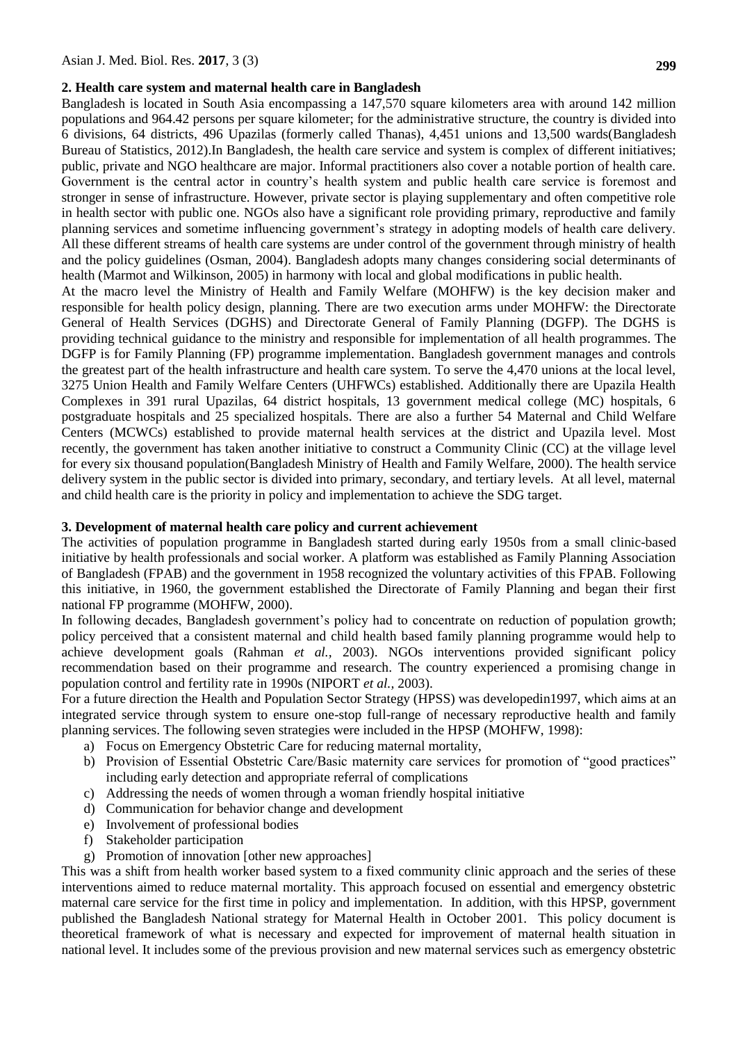### **2. Health care system and maternal health care in Bangladesh**

Bangladesh is located in South Asia encompassing a 147,570 square kilometers area with around 142 million populations and 964.42 persons per square kilometer; for the administrative structure, the country is divided into 6 divisions, 64 districts, 496 Upazilas (formerly called Thanas), 4,451 unions and 13,500 wards(Bangladesh Bureau of Statistics, 2012).In Bangladesh, the health care service and system is complex of different initiatives; public, private and NGO healthcare are major. Informal practitioners also cover a notable portion of health care. Government is the central actor in country's health system and public health care service is foremost and stronger in sense of infrastructure. However, private sector is playing supplementary and often competitive role in health sector with public one. NGOs also have a significant role providing primary, reproductive and family planning services and sometime influencing government's strategy in adopting models of health care delivery. All these different streams of health care systems are under control of the government through ministry of health and the policy guidelines (Osman, 2004). Bangladesh adopts many changes considering social determinants of health (Marmot and Wilkinson, 2005) in harmony with local and global modifications in public health.

At the macro level the Ministry of Health and Family Welfare (MOHFW) is the key decision maker and responsible for health policy design, planning. There are two execution arms under MOHFW: the Directorate General of Health Services (DGHS) and Directorate General of Family Planning (DGFP). The DGHS is providing technical guidance to the ministry and responsible for implementation of all health programmes. The DGFP is for Family Planning (FP) programme implementation. Bangladesh government manages and controls the greatest part of the health infrastructure and health care system. To serve the 4,470 unions at the local level, 3275 Union Health and Family Welfare Centers (UHFWCs) established. Additionally there are Upazila Health Complexes in 391 rural Upazilas, 64 district hospitals, 13 government medical college (MC) hospitals, 6 postgraduate hospitals and 25 specialized hospitals. There are also a further 54 Maternal and Child Welfare Centers (MCWCs) established to provide maternal health services at the district and Upazila level. Most recently, the government has taken another initiative to construct a Community Clinic (CC) at the village level for every six thousand population[\(Bangladesh Ministry of Health and Family Welfare, 2000\)](#page-6-0). The health service delivery system in the public sector is divided into primary, secondary, and tertiary levels. At all level, maternal and child health care is the priority in policy and implementation to achieve the SDG target.

### **3. Development of maternal health care policy and current achievement**

The activities of population programme in Bangladesh started during early 1950s from a small clinic-based initiative by health professionals and social worker. A platform was established as Family Planning Association of Bangladesh (FPAB) and the government in 1958 recognized the voluntary activities of this FPAB. Following this initiative, in 1960, the government established the Directorate of Family Planning and began their first national FP programme (MOHFW, 2000).

In following decades, Bangladesh government's policy had to concentrate on reduction of population growth; policy perceived that a consistent maternal and child health based family planning programme would help to achieve development goals (Rahman *et al.,* 2003). NGOs interventions provided significant policy recommendation based on their programme and research. The country experienced a promising change in population control and fertility rate in 1990s (NIPORT *et al.,* 2003).

For a future direction the Health and Population Sector Strategy (HPSS) was developedin1997, which aims at an integrated service through system to ensure one-stop full-range of necessary reproductive health and family planning services. The following seven strategies were included in the HPSP (MOHFW, 1998):

- a) Focus on Emergency Obstetric Care for reducing maternal mortality,
- b) Provision of Essential Obstetric Care/Basic maternity care services for promotion of "good practices" including early detection and appropriate referral of complications
- c) Addressing the needs of women through a woman friendly hospital initiative
- d) Communication for behavior change and development
- e) Involvement of professional bodies
- f) Stakeholder participation
- g) Promotion of innovation [other new approaches]

This was a shift from health worker based system to a fixed community clinic approach and the series of these interventions aimed to reduce maternal mortality. This approach focused on essential and emergency obstetric maternal care service for the first time in policy and implementation. In addition, with this HPSP, government published the Bangladesh National strategy for Maternal Health in October 2001. This policy document is theoretical framework of what is necessary and expected for improvement of maternal health situation in national level. It includes some of the previous provision and new maternal services such as emergency obstetric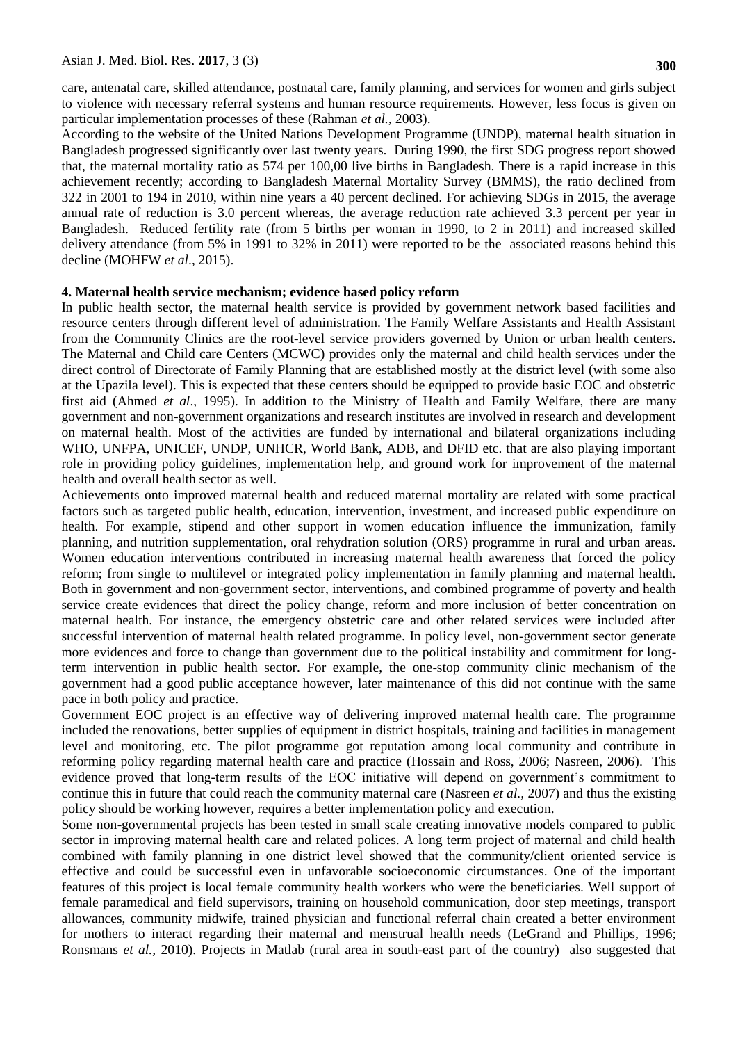care, antenatal care, skilled attendance, postnatal care, family planning, and services for women and girls subject to violence with necessary referral systems and human resource requirements. However, less focus is given on particular implementation processes of these (Rahman *et al.*, 2003).

According to the website of the United Nations Development Programme (UNDP), maternal health situation in Bangladesh progressed significantly over last twenty years. During 1990, the first SDG progress report showed that, the maternal mortality ratio as 574 per 100,00 live births in Bangladesh. There is a rapid increase in this achievement recently; according to Bangladesh Maternal Mortality Survey (BMMS), the ratio declined from 322 in 2001 to 194 in 2010, within nine years a 40 percent declined. For achieving SDGs in 2015, the average annual rate of reduction is 3.0 percent whereas, the average reduction rate achieved 3.3 percent per year in Bangladesh. Reduced fertility rate (from 5 births per woman in 1990, to 2 in 2011) and increased skilled delivery attendance (from 5% in 1991 to 32% in 2011) were reported to be the associated reasons behind this decline (MOHFW *et al*., 2015).

### **4. Maternal health service mechanism; evidence based policy reform**

In public health sector, the maternal health service is provided by government network based facilities and resource centers through different level of administration. The Family Welfare Assistants and Health Assistant from the Community Clinics are the root-level service providers governed by Union or urban health centers. The Maternal and Child care Centers (MCWC) provides only the maternal and child health services under the direct control of Directorate of Family Planning that are established mostly at the district level (with some also at the Upazila level). This is expected that these centers should be equipped to provide basic EOC and obstetric first aid [\(Ahmed](#page-5-0) *et al*., 1995). In addition to the Ministry of Health and Family Welfare, there are many government and non-government organizations and research institutes are involved in research and development on maternal health. Most of the activities are funded by international and bilateral organizations including WHO, UNFPA, UNICEF, UNDP, UNHCR, World Bank, ADB, and DFID etc. that are also playing important role in providing policy guidelines, implementation help, and ground work for improvement of the maternal health and overall health sector as well.

Achievements onto improved maternal health and reduced maternal mortality are related with some practical factors such as targeted public health, education, intervention, investment, and increased public expenditure on health. For example, stipend and other support in women education influence the immunization, family planning, and nutrition supplementation, oral rehydration solution (ORS) programme in rural and urban areas. Women education interventions contributed in increasing maternal health awareness that forced the policy reform; from single to multilevel or integrated policy implementation in family planning and maternal health. Both in government and non-government sector, interventions, and combined programme of poverty and health service create evidences that direct the policy change, reform and more inclusion of better concentration on maternal health. For instance, the emergency obstetric care and other related services were included after successful intervention of maternal health related programme. In policy level, non-government sector generate more evidences and force to change than government due to the political instability and commitment for longterm intervention in public health sector. For example, the one-stop community clinic mechanism of the government had a good public acceptance however, later maintenance of this did not continue with the same pace in both policy and practice.

Government EOC project is an effective way of delivering improved maternal health care. The programme included the renovations, better supplies of equipment in district hospitals, training and facilities in management level and monitoring, etc. The pilot programme got reputation among local community and contribute in reforming policy regarding maternal health care and practice (Hossain and Ross, 2006; Nasreen, 2006). This evidence proved that long-term results of the EOC initiative will depend on government's commitment to continue this in future that could reach the community maternal care (Nasreen *et al.,* 2007) and thus the existing policy should be working however, requires a better implementation policy and execution.

Some non-governmental projects has been tested in small scale creating innovative models compared to public sector in improving maternal health care and related polices. A long term project of maternal and child health combined with family planning in one district level showed that the community/client oriented service is effective and could be successful even in unfavorable socioeconomic circumstances. One of the important features of this project is local female community health workers who were the beneficiaries. Well support of female paramedical and field supervisors, training on household communication, door step meetings, transport allowances, community midwife, trained physician and functional referral chain created a better environment for mothers to interact regarding their maternal and menstrual health needs (LeGrand and Phillips, 1996; Ronsmans *et al.,* 2010). Projects in Matlab (rural area in south-east part of the country) also suggested that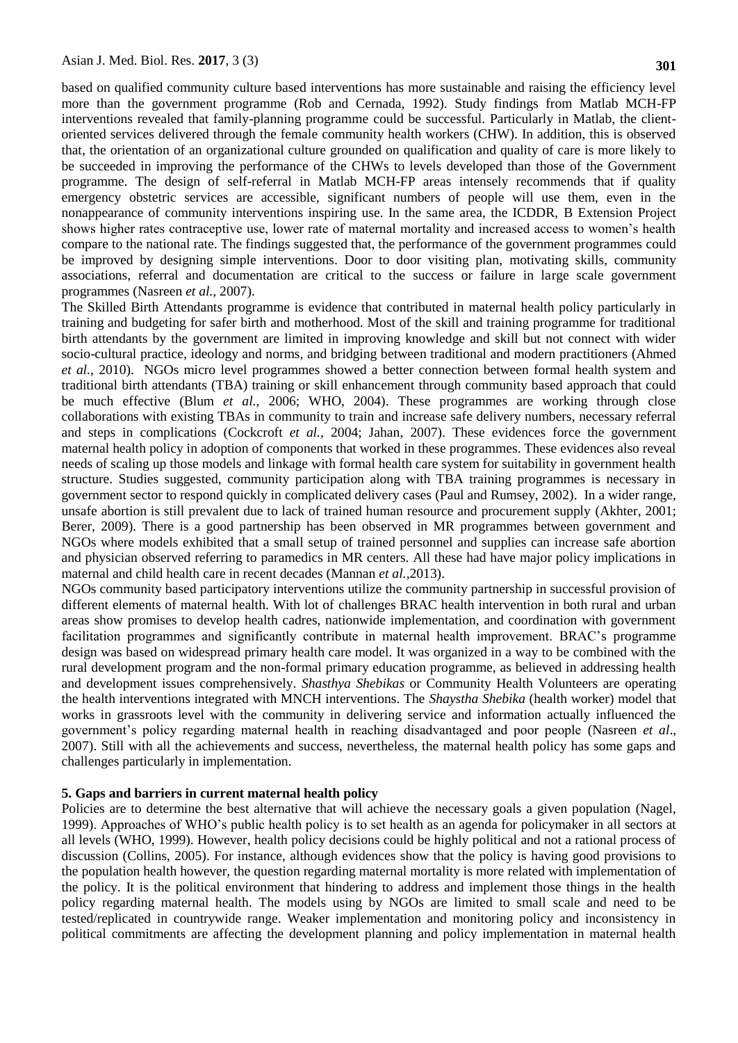based on qualified community culture based interventions has more sustainable and raising the efficiency level more than the government programme [\(Rob and Cernada, 1992\)](#page-6-1). Study findings from Matlab MCH-FP interventions revealed that family-planning programme could be successful. Particularly in Matlab, the clientoriented services delivered through the female community health workers (CHW). In addition, this is observed that, the orientation of an organizational culture grounded on qualification and quality of care is more likely to be succeeded in improving the performance of the CHWs to levels developed than those of the Government programme. The design of self-referral in Matlab MCH-FP areas intensely recommends that if quality emergency obstetric services are accessible, significant numbers of people will use them, even in the nonappearance of community interventions inspiring use. In the same area, the ICDDR, B Extension Project shows higher rates contraceptive use, lower rate of maternal mortality and increased access to women's health compare to the national rate. The findings suggested that, the performance of the government programmes could be improved by designing simple interventions. Door to door visiting plan, motivating skills, community associations, referral and documentation are critical to the success or failure in large scale government programmes (Nasreen *et al.,* 2007).

The Skilled Birth Attendants programme is evidence that contributed in maternal health policy particularly in training and budgeting for safer birth and motherhood. Most of the skill and training programme for traditional birth attendants by the government are limited in improving knowledge and skill but not connect with wider socio-cultural practice, ideology and norms, and bridging between traditional and modern practitioners (Ahmed *et al.,* 2010). NGOs micro level programmes showed a better connection between formal health system and traditional birth attendants (TBA) training or skill enhancement through community based approach that could be much effective (Blum *et al.,* 2006; WHO, [2004\)](#page-6-2). These programmes are working through close collaborations with existing TBAs in community to train and increase safe delivery numbers, necessary referral and steps in complications [\(Cockcroft](#page-5-1) *et al.,* 2004; [Jahan, 2007\)](#page-5-2). These evidences force the government maternal health policy in adoption of components that worked in these programmes. These evidences also reveal needs of scaling up those models and linkage with formal health care system for suitability in government health structure. Studies suggested, community participation along with TBA training programmes is necessary in government sector to respond quickly in complicated delivery cases (Paul and Rumsey, 2002). In a wider range, unsafe abortion is still prevalent due to lack of trained human resource and procurement supply [\(Akhter, 2001;](#page-5-3) [Berer, 2009\)](#page-5-4). There is a good partnership has been observed in MR programmes between government and NGOs where models exhibited that a small setup of trained personnel and supplies can increase safe abortion and physician observed referring to paramedics in MR centers. All these had have major policy implications in maternal and child health care in recent decades (Mannan *et al.,*2013).

NGOs community based participatory interventions utilize the community partnership in successful provision of different elements of maternal health. With lot of challenges BRAC health intervention in both rural and urban areas show promises to develop health cadres, nationwide implementation, and coordination with government facilitation programmes and significantly contribute in maternal health improvement. BRAC's programme design was based on widespread primary health care model. It was organized in a way to be combined with the rural development program and the non-formal primary education programme, as believed in addressing health and development issues comprehensively. *Shasthya Shebikas* or Community Health Volunteers are operating the health interventions integrated with MNCH interventions. The *Shaystha Shebika* (health worker) model that works in grassroots level with the community in delivering service and information actually influenced the government's policy regarding maternal health in reaching disadvantaged and poor people (Nasreen *et al*., 2007). Still with all the achievements and success, nevertheless, the maternal health policy has some gaps and challenges particularly in implementation.

## **5. Gaps and barriers in current maternal health policy**

Policies are to determine the best alternative that will achieve the necessary goals a given population (Nagel, 1999). Approaches of WHO's public health policy is to set health as an agenda for policymaker in all sectors at all levels (WHO, 1999). However, health policy decisions could be highly political and not a rational process of discussion (Collins, 2005). For instance, although evidences show that the policy is having good provisions to the population health however, the question regarding maternal mortality is more related with implementation of the policy. It is the political environment that hindering to address and implement those things in the health policy regarding maternal health. The models using by NGOs are limited to small scale and need to be tested/replicated in countrywide range. Weaker implementation and monitoring policy and inconsistency in political commitments are affecting the development planning and policy implementation in maternal health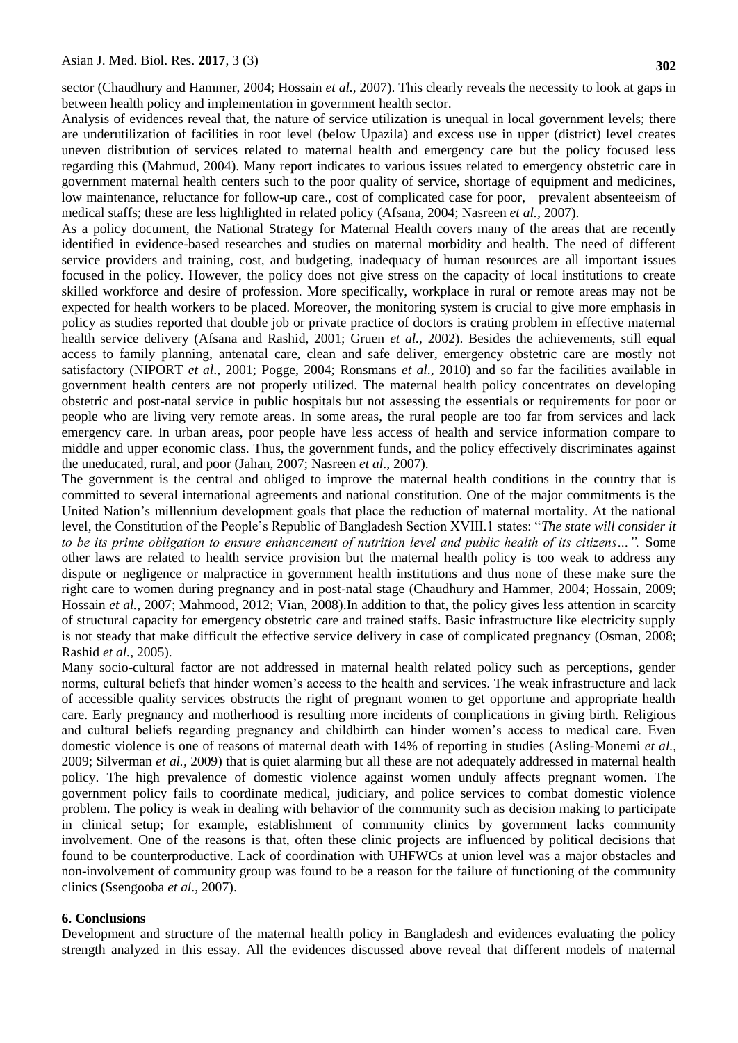sector (Chaudhury and Hammer, 2004; Hossain *et al.,* 2007). This clearly reveals the necessity to look at gaps in between health policy and implementation in government health sector.

Analysis of evidences reveal that, the nature of service utilization is unequal in local government levels; there are underutilization of facilities in root level (below Upazila) and excess use in upper (district) level creates uneven distribution of services related to maternal health and emergency care but the policy focused less regarding this (Mahmud, 2004). Many report indicates to various issues related to emergency obstetric care in government maternal health centers such to the poor quality of service, shortage of equipment and medicines, low maintenance, reluctance for follow-up care., cost of complicated case for poor, prevalent absenteeism of medical staffs; these are less highlighted in related policy (Afsana, 2004; Nasreen *et al.,* 2007).

As a policy document, the National Strategy for Maternal Health covers many of the areas that are recently identified in evidence-based researches and studies on maternal morbidity and health. The need of different service providers and training, cost, and budgeting, inadequacy of human resources are all important issues focused in the policy. However, the policy does not give stress on the capacity of local institutions to create skilled workforce and desire of profession. More specifically, workplace in rural or remote areas may not be expected for health workers to be placed. Moreover, the monitoring system is crucial to give more emphasis in policy as studies reported that double job or private practice of doctors is crating problem in effective maternal health service delivery (Afsana and Rashid, 2001; Gruen *et al.,* 2002). Besides the achievements, still equal access to family planning, antenatal care, clean and safe deliver, emergency obstetric care are mostly not satisfactory (NIPORT *et al*., 2001; Pogge, 2004; Ronsmans *et al*., 2010) and so far the facilities available in government health centers are not properly utilized. The maternal health policy concentrates on developing obstetric and post-natal service in public hospitals but not assessing the essentials or requirements for poor or people who are living very remote areas. In some areas, the rural people are too far from services and lack emergency care. In urban areas, poor people have less access of health and service information compare to middle and upper economic class. Thus, the government funds, and the policy effectively discriminates against the uneducated, rural, and poor (Jahan, 2007; Nasreen *et al*., 2007).

The government is the central and obliged to improve the maternal health conditions in the country that is committed to several international agreements and national constitution. One of the major commitments is the United Nation's millennium development goals that place the reduction of maternal mortality. At the national level, the Constitution of the People's Republic of Bangladesh Section XVIII.1 states: "*The state will consider it to be its prime obligation to ensure enhancement of nutrition level and public health of its citizens…".* Some other laws are related to health service provision but the maternal health policy is too weak to address any dispute or negligence or malpractice in government health institutions and thus none of these make sure the right care to women during pregnancy and in post-natal stage (Chaudhury and Hammer, 2004; Hossain*,* 2009; Hossain *et al.,* 2007; Mahmood, 2012; Vian, 2008).In addition to that, the policy gives less attention in scarcity of structural capacity for emergency obstetric care and trained staffs. Basic infrastructure like electricity supply is not steady that make difficult the effective service delivery in case of complicated pregnancy (Osman, 2008; Rashid *et al.,* 2005).

Many socio-cultural factor are not addressed in maternal health related policy such as perceptions, gender norms, cultural beliefs that hinder women's access to the health and services. The weak infrastructure and lack of accessible quality services obstructs the right of pregnant women to get opportune and appropriate health care. Early pregnancy and motherhood is resulting more incidents of complications in giving birth. Religious and cultural beliefs regarding pregnancy and childbirth can hinder women's access to medical care. Even domestic violence is one of reasons of maternal death with 14% of reporting in studies (Asling-Monemi *et al.,*  2009; Silverman *et al.,* 2009) that is quiet alarming but all these are not adequately addressed in maternal health policy. The high prevalence of domestic violence against women unduly affects pregnant women. The government policy fails to coordinate medical, judiciary, and police services to combat domestic violence problem. The policy is weak in dealing with behavior of the community such as decision making to participate in clinical setup; for example, establishment of community clinics by government lacks community involvement. One of the reasons is that, often these clinic projects are influenced by political decisions that found to be counterproductive. Lack of coordination with UHFWCs at union level was a major obstacles and non-involvement of community group was found to be a reason for the failure of functioning of the community clinics (Ssengooba *et al*., 2007).

#### **6. Conclusions**

Development and structure of the maternal health policy in Bangladesh and evidences evaluating the policy strength analyzed in this essay. All the evidences discussed above reveal that different models of maternal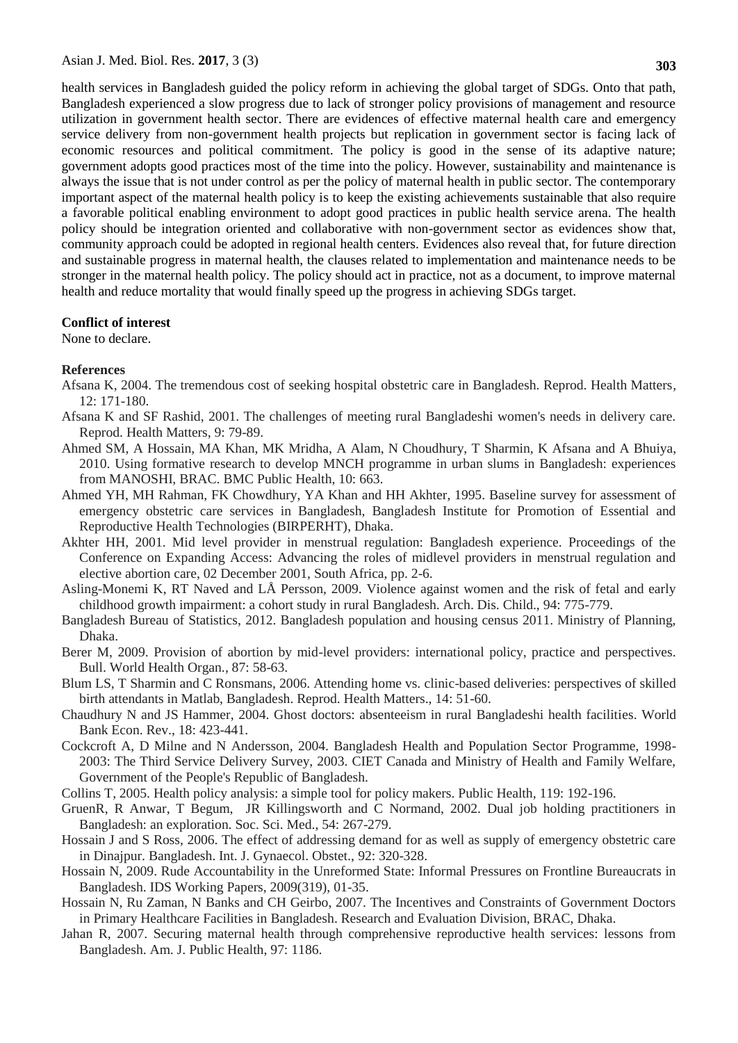health services in Bangladesh guided the policy reform in achieving the global target of SDGs. Onto that path, Bangladesh experienced a slow progress due to lack of stronger policy provisions of management and resource utilization in government health sector. There are evidences of effective maternal health care and emergency service delivery from non-government health projects but replication in government sector is facing lack of economic resources and political commitment. The policy is good in the sense of its adaptive nature; government adopts good practices most of the time into the policy. However, sustainability and maintenance is always the issue that is not under control as per the policy of maternal health in public sector. The contemporary important aspect of the maternal health policy is to keep the existing achievements sustainable that also require a favorable political enabling environment to adopt good practices in public health service arena. The health policy should be integration oriented and collaborative with non-government sector as evidences show that, community approach could be adopted in regional health centers. Evidences also reveal that, for future direction and sustainable progress in maternal health, the clauses related to implementation and maintenance needs to be stronger in the maternal health policy. The policy should act in practice, not as a document, to improve maternal health and reduce mortality that would finally speed up the progress in achieving SDGs target.

#### **Conflict of interest**

None to declare.

#### **References**

- Afsana K, 2004. The tremendous cost of seeking hospital obstetric care in Bangladesh. Reprod. Health Matters*,*  12: 171-180.
- Afsana K and SF Rashid, 2001. The challenges of meeting rural Bangladeshi women's needs in delivery care. Reprod. Health Matters, 9: 79-89.
- Ahmed SM, A Hossain, MA Khan, MK Mridha, A Alam, N Choudhury, T Sharmin, K Afsana and A Bhuiya, 2010. Using formative research to develop MNCH programme in urban slums in Bangladesh: experiences from MANOSHI, BRAC. BMC Public Health, 10: 663.
- <span id="page-5-0"></span>Ahmed YH, MH Rahman, FK Chowdhury, YA Khan and HH Akhter, 1995. Baseline survey for assessment of emergency obstetric care services in Bangladesh, Bangladesh Institute for Promotion of Essential and Reproductive Health Technologies (BIRPERHT), Dhaka.
- <span id="page-5-3"></span>Akhter HH, 2001. Mid level provider in menstrual regulation: Bangladesh experience. Proceedings of the Conference on Expanding Access: Advancing the roles of midlevel providers in menstrual regulation and elective abortion care, 02 December 2001, South Africa, pp. 2-6.
- Asling-Monemi K, RT Naved and LÅ Persson, 2009. Violence against women and the risk of fetal and early childhood growth impairment: a cohort study in rural Bangladesh. Arch. Dis. Child., 94: 775-779.
- Bangladesh Bureau of Statistics, 2012. Bangladesh population and housing census 2011. Ministry of Planning, Dhaka.
- <span id="page-5-4"></span>Berer M, 2009. Provision of abortion by mid-level providers: international policy, practice and perspectives. Bull. World Health Organ.*,* 87: 58-63.
- Blum LS, T Sharmin and C Ronsmans, 2006. Attending home vs. clinic-based deliveries: perspectives of skilled birth attendants in Matlab, Bangladesh. Reprod. Health Matters., 14: 51-60.
- Chaudhury N and JS Hammer, 2004. Ghost doctors: absenteeism in rural Bangladeshi health facilities. World Bank Econ. Rev., 18: 423-441.
- <span id="page-5-1"></span>Cockcroft A, D Milne and N Andersson, 2004. Bangladesh Health and Population Sector Programme, 1998- 2003: The Third Service Delivery Survey, 2003. CIET Canada and Ministry of Health and Family Welfare, Government of the People's Republic of Bangladesh.
- Collins T, 2005. Health policy analysis: a simple tool for policy makers. Public Health, 119: 192-196.
- GruenR, R Anwar, T Begum, JR Killingsworth and C Normand, 2002. Dual job holding practitioners in Bangladesh: an exploration. Soc. Sci. Med., 54: 267-279.
- Hossain J and S Ross, 2006. The effect of addressing demand for as well as supply of emergency obstetric care in Dinajpur. Bangladesh. Int. J. Gynaecol. Obstet., 92: 320-328.
- Hossain N, 2009. Rude Accountability in the Unreformed State: Informal Pressures on Frontline Bureaucrats in Bangladesh. IDS Working Papers, 2009(319), 01-35.
- Hossain N, Ru Zaman, N Banks and CH Geirbo, 2007. The Incentives and Constraints of Government Doctors in Primary Healthcare Facilities in Bangladesh. Research and Evaluation Division, BRAC, Dhaka.
- <span id="page-5-2"></span>Jahan R, 2007. Securing maternal health through comprehensive reproductive health services: lessons from Bangladesh. Am. J. Public Health, 97: 1186.